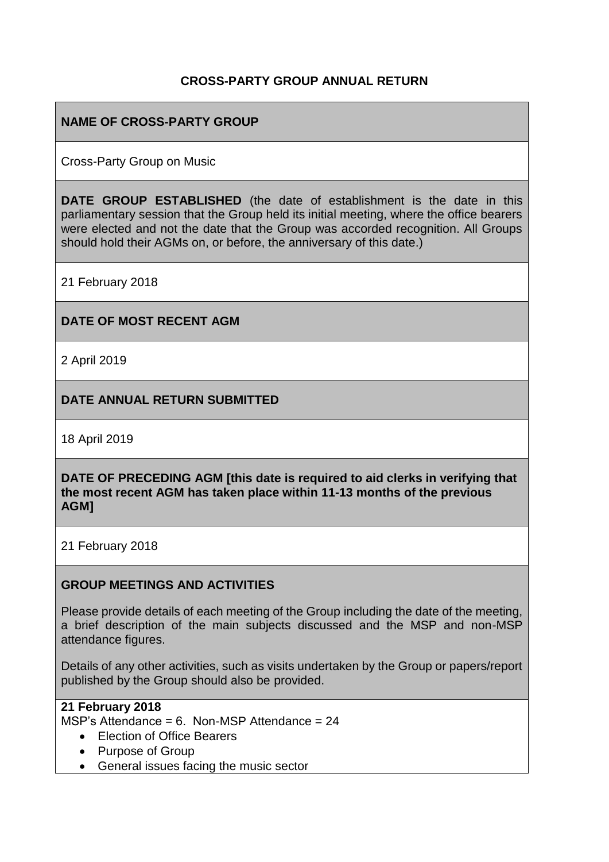### **CROSS-PARTY GROUP ANNUAL RETURN**

# **NAME OF CROSS-PARTY GROUP**

Cross-Party Group on Music

**DATE GROUP ESTABLISHED** (the date of establishment is the date in this parliamentary session that the Group held its initial meeting, where the office bearers were elected and not the date that the Group was accorded recognition. All Groups should hold their AGMs on, or before, the anniversary of this date.)

21 February 2018

#### **DATE OF MOST RECENT AGM**

2 April 2019

#### **DATE ANNUAL RETURN SUBMITTED**

18 April 2019

**DATE OF PRECEDING AGM [this date is required to aid clerks in verifying that the most recent AGM has taken place within 11-13 months of the previous AGM]**

21 February 2018

#### **GROUP MEETINGS AND ACTIVITIES**

Please provide details of each meeting of the Group including the date of the meeting, a brief description of the main subjects discussed and the MSP and non-MSP attendance figures.

Details of any other activities, such as visits undertaken by the Group or papers/report published by the Group should also be provided.

#### **21 February 2018**

MSP's Attendance = 6. Non-MSP Attendance = 24

- Election of Office Bearers
- Purpose of Group
- General issues facing the music sector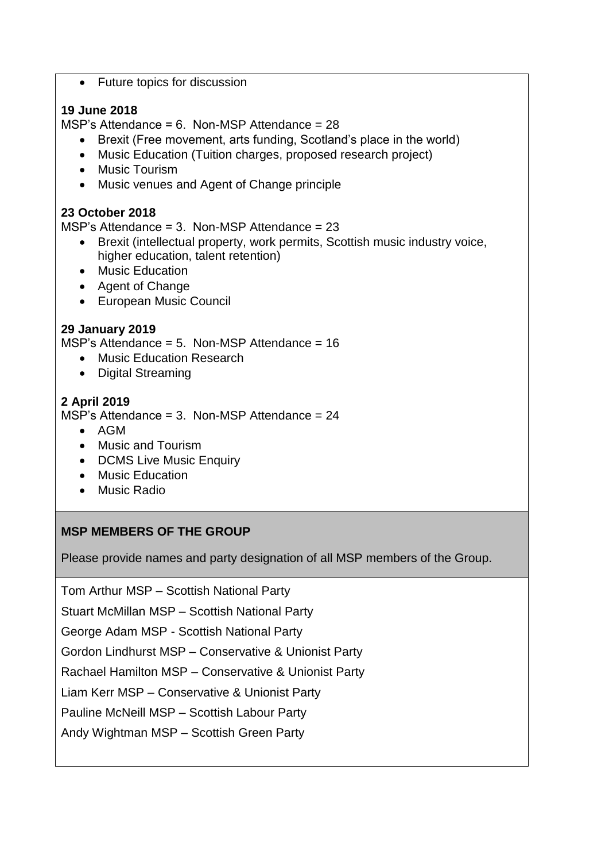• Future topics for discussion

### **19 June 2018**

MSP's Attendance = 6. Non-MSP Attendance = 28

- Brexit (Free movement, arts funding, Scotland's place in the world)
- Music Education (Tuition charges, proposed research project)
- Music Tourism
- Music venues and Agent of Change principle

# **23 October 2018**

MSP's Attendance =  $3.$  Non-MSP Attendance =  $23$ 

- Brexit (intellectual property, work permits, Scottish music industry voice, higher education, talent retention)
- Music Education
- Agent of Change
- European Music Council

# **29 January 2019**

MSP's Attendance = 5. Non-MSP Attendance = 16

- Music Education Research
- Digital Streaming

# **2 April 2019**

MSP's Attendance = 3. Non-MSP Attendance = 24

- AGM
- Music and Tourism
- DCMS Live Music Enquiry
- Music Education
- Music Radio

#### **MSP MEMBERS OF THE GROUP**

Please provide names and party designation of all MSP members of the Group.

Tom Arthur MSP – Scottish National Party

Stuart McMillan MSP – Scottish National Party

George Adam MSP - Scottish National Party

Gordon Lindhurst MSP – Conservative & Unionist Party

Rachael Hamilton MSP – Conservative & Unionist Party

Liam Kerr MSP – Conservative & Unionist Party

Pauline McNeill MSP – Scottish Labour Party

Andy Wightman MSP – Scottish Green Party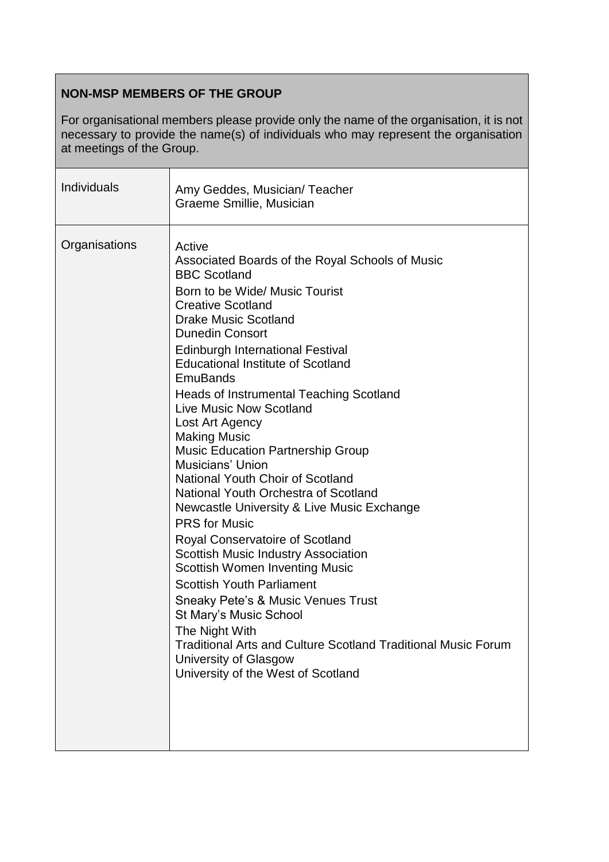# **NON-MSP MEMBERS OF THE GROUP**

For organisational members please provide only the name of the organisation, it is not necessary to provide the name(s) of individuals who may represent the organisation at meetings of the Group.

| Individuals   | Amy Geddes, Musician/Teacher<br>Graeme Smillie, Musician                                                                                                                                                                                                                                                                                                                                                                                                                                                                                                                                                                                                                                                                                                                                                                                                                                                                                                                                                                                                        |
|---------------|-----------------------------------------------------------------------------------------------------------------------------------------------------------------------------------------------------------------------------------------------------------------------------------------------------------------------------------------------------------------------------------------------------------------------------------------------------------------------------------------------------------------------------------------------------------------------------------------------------------------------------------------------------------------------------------------------------------------------------------------------------------------------------------------------------------------------------------------------------------------------------------------------------------------------------------------------------------------------------------------------------------------------------------------------------------------|
| Organisations | Active<br>Associated Boards of the Royal Schools of Music<br><b>BBC Scotland</b><br>Born to be Wide/ Music Tourist<br><b>Creative Scotland</b><br><b>Drake Music Scotland</b><br><b>Dunedin Consort</b><br><b>Edinburgh International Festival</b><br><b>Educational Institute of Scotland</b><br><b>EmuBands</b><br><b>Heads of Instrumental Teaching Scotland</b><br><b>Live Music Now Scotland</b><br>Lost Art Agency<br><b>Making Music</b><br><b>Music Education Partnership Group</b><br>Musicians' Union<br>National Youth Choir of Scotland<br>National Youth Orchestra of Scotland<br>Newcastle University & Live Music Exchange<br><b>PRS</b> for Music<br><b>Royal Conservatoire of Scotland</b><br><b>Scottish Music Industry Association</b><br><b>Scottish Women Inventing Music</b><br><b>Scottish Youth Parliament</b><br>Sneaky Pete's & Music Venues Trust<br>St Mary's Music School<br>The Night With<br><b>Traditional Arts and Culture Scotland Traditional Music Forum</b><br>University of Glasgow<br>University of the West of Scotland |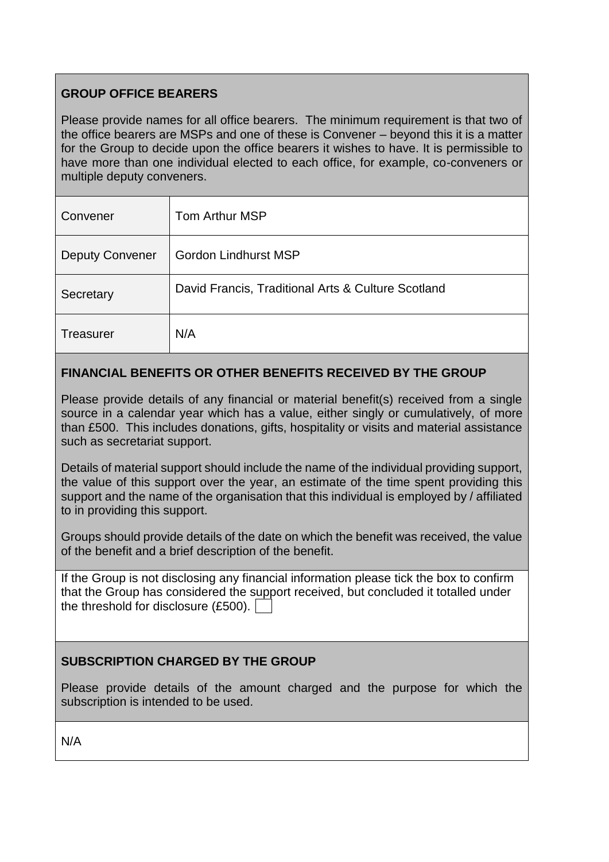# **GROUP OFFICE BEARERS**

Please provide names for all office bearers. The minimum requirement is that two of the office bearers are MSPs and one of these is Convener – beyond this it is a matter for the Group to decide upon the office bearers it wishes to have. It is permissible to have more than one individual elected to each office, for example, co-conveners or multiple deputy conveners.

| Convener               | Tom Arthur MSP                                     |
|------------------------|----------------------------------------------------|
| <b>Deputy Convener</b> | <b>Gordon Lindhurst MSP</b>                        |
| Secretary              | David Francis, Traditional Arts & Culture Scotland |
| <b>Treasurer</b>       | N/A                                                |

# **FINANCIAL BENEFITS OR OTHER BENEFITS RECEIVED BY THE GROUP**

Please provide details of any financial or material benefit(s) received from a single source in a calendar year which has a value, either singly or cumulatively, of more than £500. This includes donations, gifts, hospitality or visits and material assistance such as secretariat support.

Details of material support should include the name of the individual providing support, the value of this support over the year, an estimate of the time spent providing this support and the name of the organisation that this individual is employed by / affiliated to in providing this support.

Groups should provide details of the date on which the benefit was received, the value of the benefit and a brief description of the benefit.

If the Group is not disclosing any financial information please tick the box to confirm that the Group has considered the support received, but concluded it totalled under the threshold for disclosure (£500).

# **SUBSCRIPTION CHARGED BY THE GROUP**

Please provide details of the amount charged and the purpose for which the subscription is intended to be used.

N/A